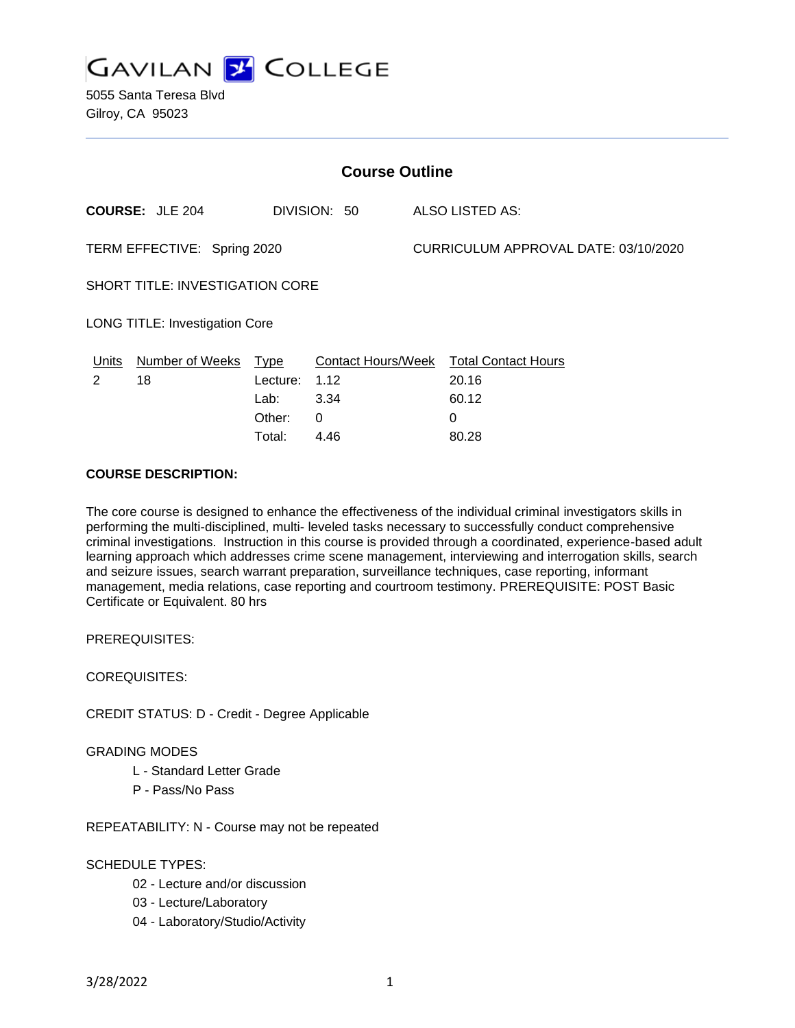

5055 Santa Teresa Blvd Gilroy, CA 95023

| <b>Course Outline</b>                  |                        |          |                           |  |                                      |  |
|----------------------------------------|------------------------|----------|---------------------------|--|--------------------------------------|--|
|                                        | <b>COURSE: JLE 204</b> |          | DIVISION: 50              |  | ALSO LISTED AS:                      |  |
| TERM EFFECTIVE: Spring 2020            |                        |          |                           |  | CURRICULUM APPROVAL DATE: 03/10/2020 |  |
| <b>SHORT TITLE: INVESTIGATION CORE</b> |                        |          |                           |  |                                      |  |
| <b>LONG TITLE: Investigation Core</b>  |                        |          |                           |  |                                      |  |
| Units                                  | Number of Weeks Type   |          | <b>Contact Hours/Week</b> |  | <b>Total Contact Hours</b>           |  |
| 2                                      | 18                     | Lecture: | 1.12                      |  | 20.16                                |  |
|                                        |                        | Lab:     | 3.34                      |  | 60.12                                |  |
|                                        |                        | Other:   | $\Omega$                  |  | 0                                    |  |
|                                        |                        | Total:   | 4.46                      |  | 80.28                                |  |

## **COURSE DESCRIPTION:**

The core course is designed to enhance the effectiveness of the individual criminal investigators skills in performing the multi-disciplined, multi- leveled tasks necessary to successfully conduct comprehensive criminal investigations. Instruction in this course is provided through a coordinated, experience-based adult learning approach which addresses crime scene management, interviewing and interrogation skills, search and seizure issues, search warrant preparation, surveillance techniques, case reporting, informant management, media relations, case reporting and courtroom testimony. PREREQUISITE: POST Basic Certificate or Equivalent. 80 hrs

PREREQUISITES:

COREQUISITES:

CREDIT STATUS: D - Credit - Degree Applicable

### GRADING MODES

- L Standard Letter Grade
- P Pass/No Pass

REPEATABILITY: N - Course may not be repeated

### SCHEDULE TYPES:

- 02 Lecture and/or discussion
- 03 Lecture/Laboratory
- 04 Laboratory/Studio/Activity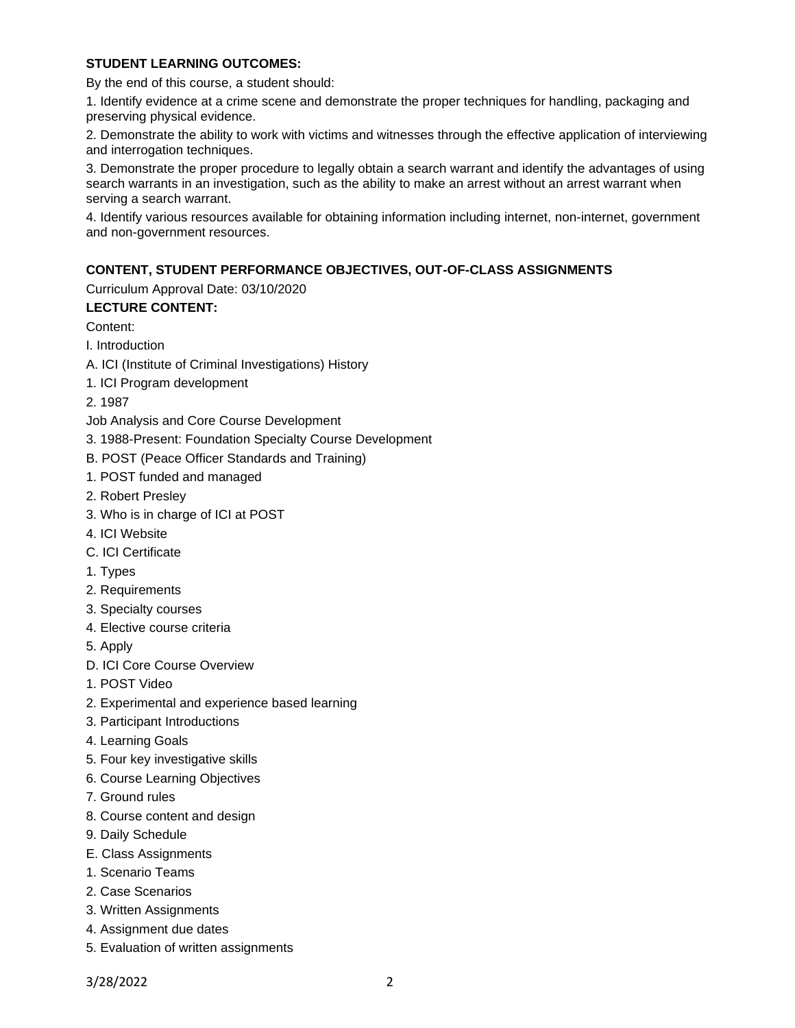### **STUDENT LEARNING OUTCOMES:**

By the end of this course, a student should:

1. Identify evidence at a crime scene and demonstrate the proper techniques for handling, packaging and preserving physical evidence.

2. Demonstrate the ability to work with victims and witnesses through the effective application of interviewing and interrogation techniques.

3. Demonstrate the proper procedure to legally obtain a search warrant and identify the advantages of using search warrants in an investigation, such as the ability to make an arrest without an arrest warrant when serving a search warrant.

4. Identify various resources available for obtaining information including internet, non-internet, government and non-government resources.

### **CONTENT, STUDENT PERFORMANCE OBJECTIVES, OUT-OF-CLASS ASSIGNMENTS**

Curriculum Approval Date: 03/10/2020

### **LECTURE CONTENT:**

Content:

I. Introduction

- A. ICI (Institute of Criminal Investigations) History
- 1. ICI Program development

2. 1987

- Job Analysis and Core Course Development
- 3. 1988-Present: Foundation Specialty Course Development
- B. POST (Peace Officer Standards and Training)
- 1. POST funded and managed
- 2. Robert Presley
- 3. Who is in charge of ICI at POST
- 4. ICI Website
- C. ICI Certificate
- 1. Types
- 2. Requirements
- 3. Specialty courses
- 4. Elective course criteria
- 5. Apply
- D. ICI Core Course Overview
- 1. POST Video
- 2. Experimental and experience based learning
- 3. Participant Introductions
- 4. Learning Goals
- 5. Four key investigative skills
- 6. Course Learning Objectives
- 7. Ground rules
- 8. Course content and design
- 9. Daily Schedule
- E. Class Assignments
- 1. Scenario Teams
- 2. Case Scenarios
- 3. Written Assignments
- 4. Assignment due dates
- 5. Evaluation of written assignments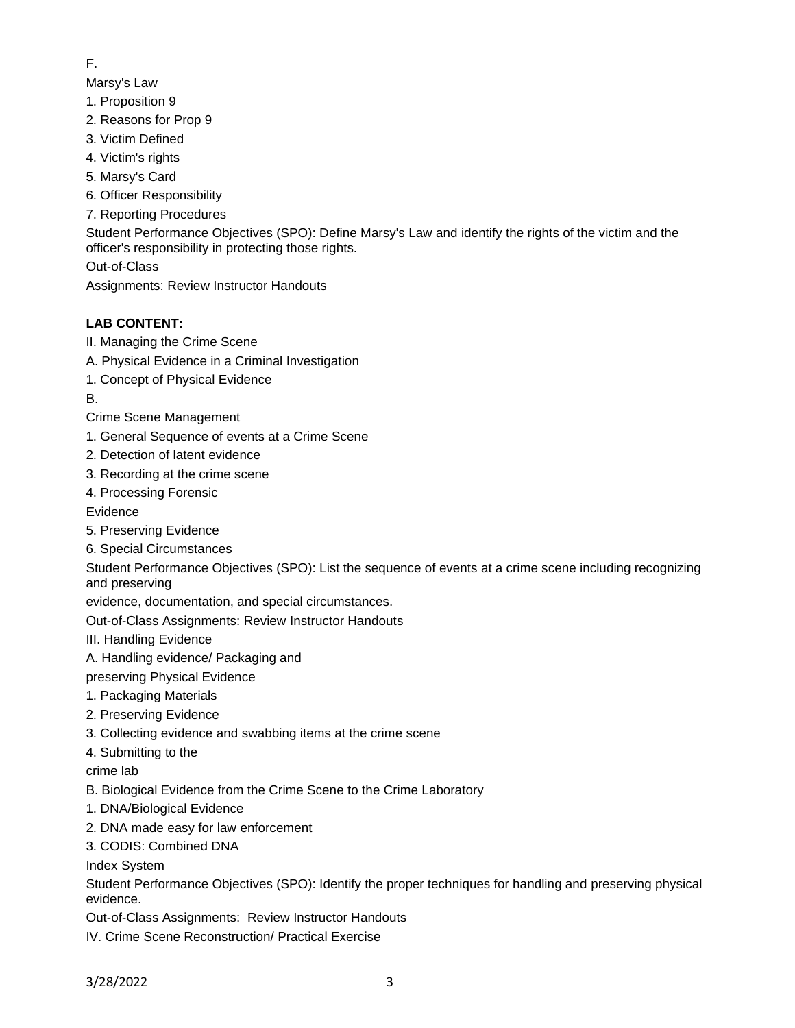## F.

Marsy's Law

- 1. Proposition 9
- 2. Reasons for Prop 9
- 3. Victim Defined
- 4. Victim's rights
- 5. Marsy's Card
- 6. Officer Responsibility
- 7. Reporting Procedures

Student Performance Objectives (SPO): Define Marsy's Law and identify the rights of the victim and the officer's responsibility in protecting those rights.

Out-of-Class

Assignments: Review Instructor Handouts

# **LAB CONTENT:**

- II. Managing the Crime Scene
- A. Physical Evidence in a Criminal Investigation
- 1. Concept of Physical Evidence
- B.
- Crime Scene Management
- 1. General Sequence of events at a Crime Scene
- 2. Detection of latent evidence
- 3. Recording at the crime scene
- 4. Processing Forensic
- Evidence
- 5. Preserving Evidence
- 6. Special Circumstances

Student Performance Objectives (SPO): List the sequence of events at a crime scene including recognizing and preserving

evidence, documentation, and special circumstances.

Out-of-Class Assignments: Review Instructor Handouts

III. Handling Evidence

- A. Handling evidence/ Packaging and
- preserving Physical Evidence
- 1. Packaging Materials
- 2. Preserving Evidence
- 3. Collecting evidence and swabbing items at the crime scene
- 4. Submitting to the

crime lab

- B. Biological Evidence from the Crime Scene to the Crime Laboratory
- 1. DNA/Biological Evidence
- 2. DNA made easy for law enforcement
- 3. CODIS: Combined DNA

Index System

Student Performance Objectives (SPO): Identify the proper techniques for handling and preserving physical evidence.

Out-of-Class Assignments: Review Instructor Handouts

IV. Crime Scene Reconstruction/ Practical Exercise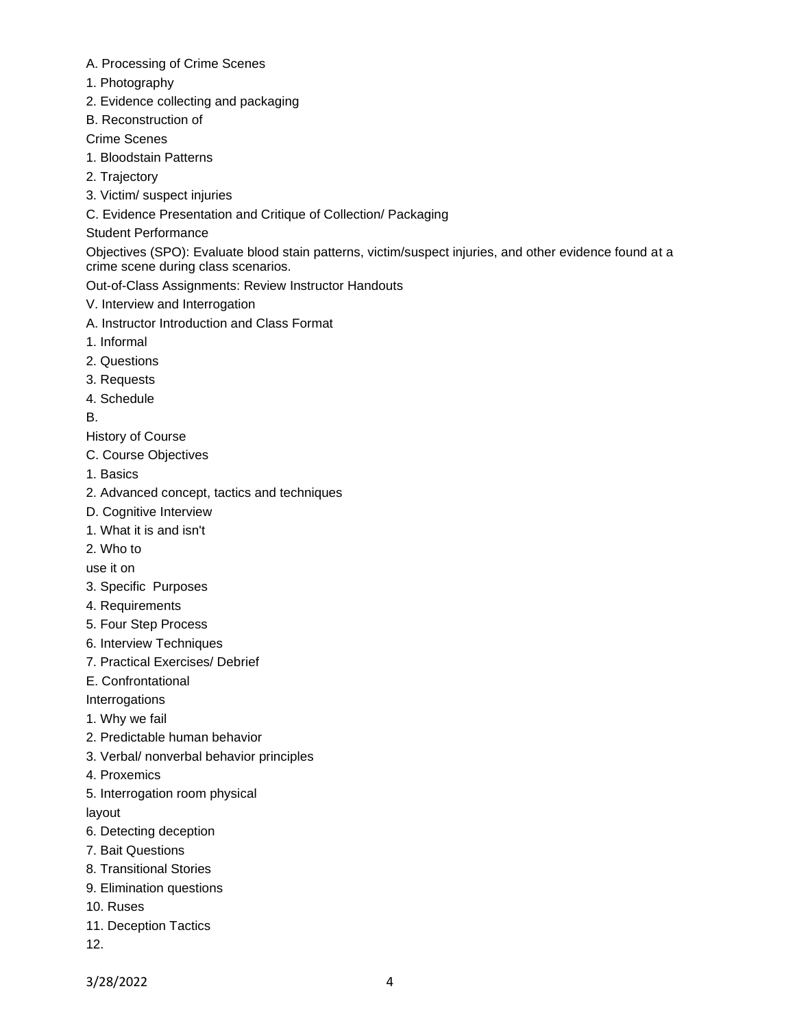- A. Processing of Crime Scenes
- 1. Photography
- 2. Evidence collecting and packaging
- B. Reconstruction of

Crime Scenes

- 1. Bloodstain Patterns
- 2. Trajectory
- 3. Victim/ suspect injuries
- C. Evidence Presentation and Critique of Collection/ Packaging

Student Performance

Objectives (SPO): Evaluate blood stain patterns, victim/suspect injuries, and other evidence found at a crime scene during class scenarios.

Out-of-Class Assignments: Review Instructor Handouts

- V. Interview and Interrogation
- A. Instructor Introduction and Class Format
- 1. Informal
- 2. Questions
- 3. Requests
- 4. Schedule

B.

History of Course

- C. Course Objectives
- 1. Basics
- 2. Advanced concept, tactics and techniques
- D. Cognitive Interview
- 1. What it is and isn't
- 2. Who to

use it on

- 3. Specific Purposes
- 4. Requirements
- 5. Four Step Process
- 6. Interview Techniques
- 7. Practical Exercises/ Debrief
- E. Confrontational

Interrogations

- 1. Why we fail
- 2. Predictable human behavior
- 3. Verbal/ nonverbal behavior principles
- 4. Proxemics
- 5. Interrogation room physical
- layout
- 6. Detecting deception
- 7. Bait Questions
- 8. Transitional Stories
- 9. Elimination questions
- 10. Ruses
- 11. Deception Tactics
- 12.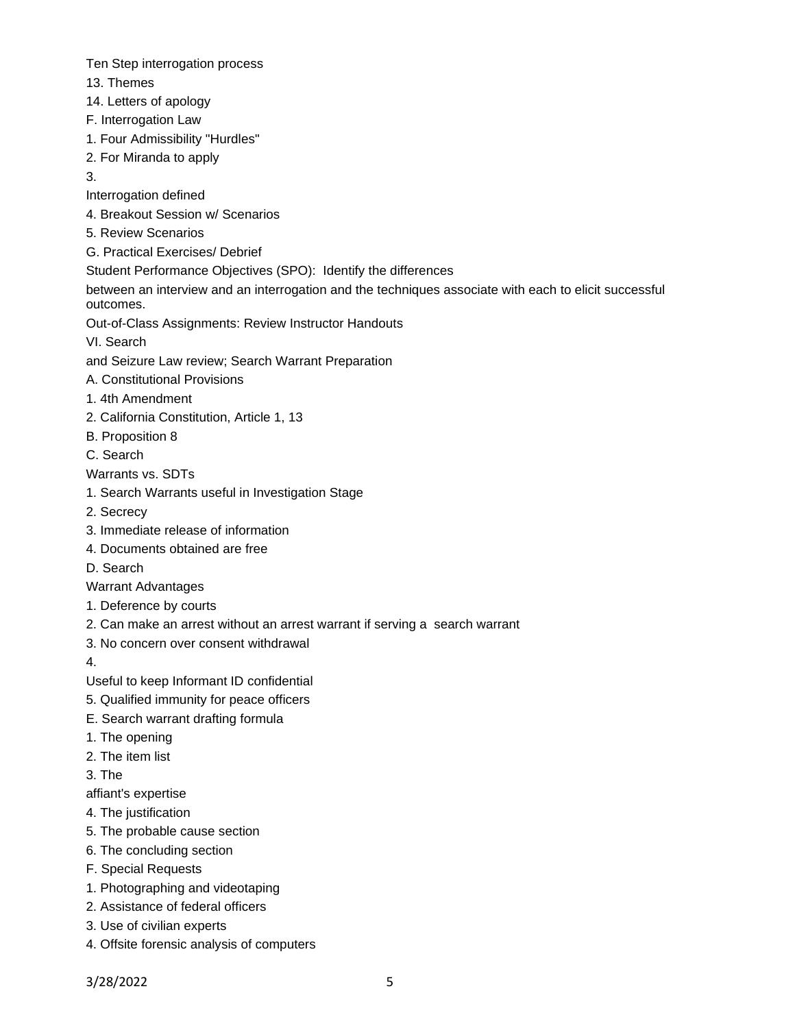Ten Step interrogation process

- 13. Themes
- 14. Letters of apology
- F. Interrogation Law
- 1. Four Admissibility "Hurdles"
- 2. For Miranda to apply
- 3.
- Interrogation defined
- 4. Breakout Session w/ Scenarios
- 5. Review Scenarios
- G. Practical Exercises/ Debrief
- Student Performance Objectives (SPO): Identify the differences
- between an interview and an interrogation and the techniques associate with each to elicit successful outcomes.
- Out-of-Class Assignments: Review Instructor Handouts
- VI. Search
- and Seizure Law review; Search Warrant Preparation
- A. Constitutional Provisions
- 1. 4th Amendment
- 2. California Constitution, Article 1, 13
- B. Proposition 8
- C. Search
- Warrants vs. SDTs
- 1. Search Warrants useful in Investigation Stage
- 2. Secrecy
- 3. Immediate release of information
- 4. Documents obtained are free
- D. Search
- Warrant Advantages
- 1. Deference by courts
- 2. Can make an arrest without an arrest warrant if serving a search warrant
- 3. No concern over consent withdrawal
- 4.
- Useful to keep Informant ID confidential
- 5. Qualified immunity for peace officers
- E. Search warrant drafting formula
- 1. The opening
- 2. The item list
- 3. The
- affiant's expertise
- 4. The justification
- 5. The probable cause section
- 6. The concluding section
- F. Special Requests
- 1. Photographing and videotaping
- 2. Assistance of federal officers
- 3. Use of civilian experts
- 4. Offsite forensic analysis of computers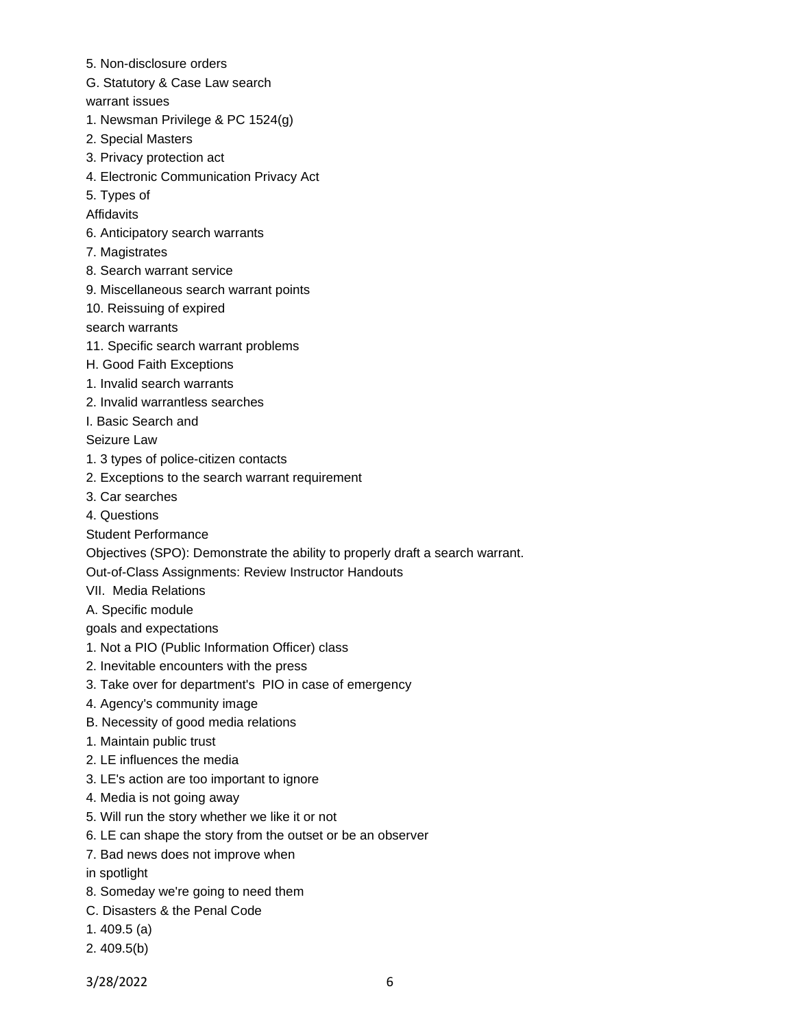- 5. Non-disclosure orders
- G. Statutory & Case Law search
- warrant issues
- 1. Newsman Privilege & PC 1524(g)
- 2. Special Masters
- 3. Privacy protection act
- 4. Electronic Communication Privacy Act
- 5. Types of
- Affidavits
- 6. Anticipatory search warrants
- 7. Magistrates
- 8. Search warrant service
- 9. Miscellaneous search warrant points
- 10. Reissuing of expired
- search warrants
- 11. Specific search warrant problems
- H. Good Faith Exceptions
- 1. Invalid search warrants
- 2. Invalid warrantless searches
- I. Basic Search and

Seizure Law

- 1. 3 types of police-citizen contacts
- 2. Exceptions to the search warrant requirement
- 3. Car searches
- 4. Questions
- Student Performance
- Objectives (SPO): Demonstrate the ability to properly draft a search warrant.
- Out-of-Class Assignments: Review Instructor Handouts
- VII. Media Relations
- A. Specific module

goals and expectations

- 1. Not a PIO (Public Information Officer) class
- 2. Inevitable encounters with the press
- 3. Take over for department's PIO in case of emergency
- 4. Agency's community image
- B. Necessity of good media relations
- 1. Maintain public trust
- 2. LE influences the media
- 3. LE's action are too important to ignore
- 4. Media is not going away
- 5. Will run the story whether we like it or not
- 6. LE can shape the story from the outset or be an observer
- 7. Bad news does not improve when
- in spotlight
- 8. Someday we're going to need them
- C. Disasters & the Penal Code
- 1. 409.5 (a)
- 2. 409.5(b)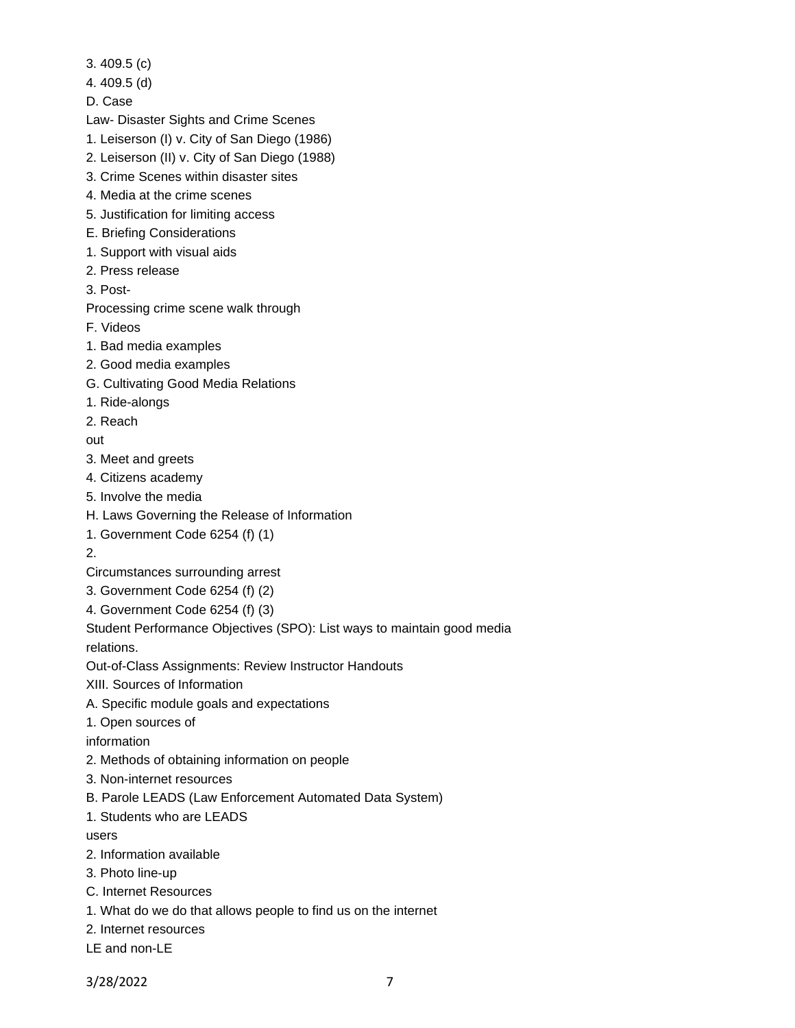- 3. 409.5 (c)
- 4. 409.5 (d)
- D. Case

Law- Disaster Sights and Crime Scenes

- 1. Leiserson (I) v. City of San Diego (1986)
- 2. Leiserson (II) v. City of San Diego (1988)
- 3. Crime Scenes within disaster sites
- 4. Media at the crime scenes
- 5. Justification for limiting access
- E. Briefing Considerations
- 1. Support with visual aids
- 2. Press release
- 3. Post-

Processing crime scene walk through

- F. Videos
- 1. Bad media examples
- 2. Good media examples
- G. Cultivating Good Media Relations
- 1. Ride-alongs
- 2. Reach

out

- 3. Meet and greets
- 4. Citizens academy
- 5. Involve the media
- H. Laws Governing the Release of Information
- 1. Government Code 6254 (f) (1)

2.

- Circumstances surrounding arrest
- 3. Government Code 6254 (f) (2)
- 4. Government Code 6254 (f) (3)

Student Performance Objectives (SPO): List ways to maintain good media

relations.

Out-of-Class Assignments: Review Instructor Handouts

- XIII. Sources of Information
- A. Specific module goals and expectations
- 1. Open sources of

information

- 2. Methods of obtaining information on people
- 3. Non-internet resources
- B. Parole LEADS (Law Enforcement Automated Data System)
- 1. Students who are LEADS

users

- 2. Information available
- 3. Photo line-up
- C. Internet Resources
- 1. What do we do that allows people to find us on the internet
- 2. Internet resources
- LE and non-LE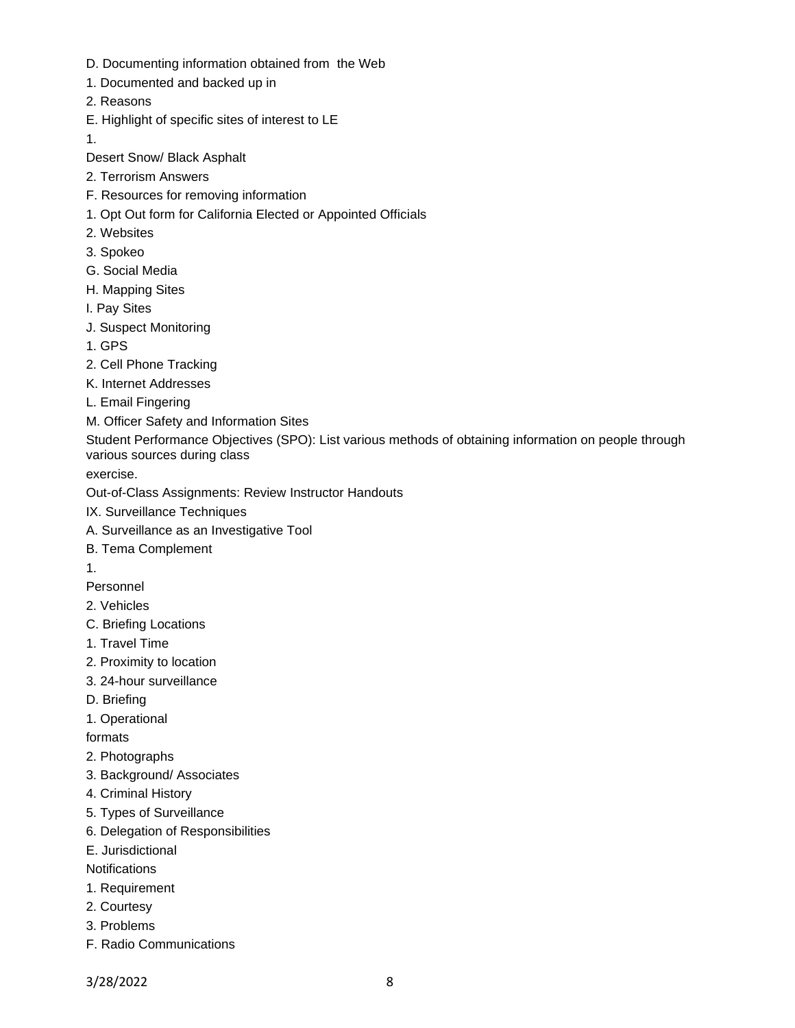- D. Documenting information obtained from the Web
- 1. Documented and backed up in
- 2. Reasons
- E. Highlight of specific sites of interest to LE

1.

Desert Snow/ Black Asphalt

- 2. Terrorism Answers
- F. Resources for removing information
- 1. Opt Out form for California Elected or Appointed Officials
- 2. Websites
- 3. Spokeo
- G. Social Media
- H. Mapping Sites
- I. Pay Sites
- J. Suspect Monitoring
- 1. GPS
- 2. Cell Phone Tracking
- K. Internet Addresses
- L. Email Fingering
- M. Officer Safety and Information Sites

Student Performance Objectives (SPO): List various methods of obtaining information on people through various sources during class

exercise.

Out-of-Class Assignments: Review Instructor Handouts

- IX. Surveillance Techniques
- A. Surveillance as an Investigative Tool
- B. Tema Complement
- 1.

Personnel

- 2. Vehicles
- C. Briefing Locations
- 1. Travel Time
- 2. Proximity to location
- 3. 24-hour surveillance
- D. Briefing
- 1. Operational

formats

- 2. Photographs
- 3. Background/ Associates
- 4. Criminal History
- 5. Types of Surveillance
- 6. Delegation of Responsibilities
- E. Jurisdictional

**Notifications** 

- 1. Requirement
- 2. Courtesy
- 3. Problems
- F. Radio Communications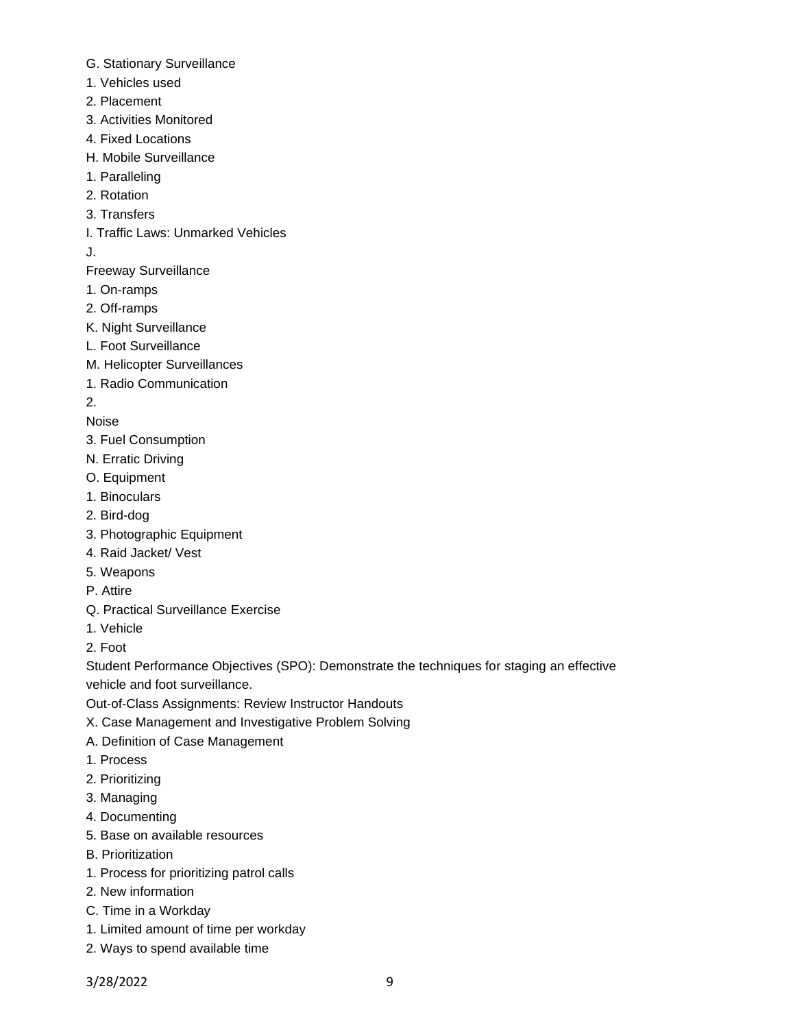- G. Stationary Surveillance
- 1. Vehicles used
- 2. Placement
- 3. Activities Monitored
- 4. Fixed Locations
- H. Mobile Surveillance
- 1. Paralleling
- 2. Rotation
- 3. Transfers
- I. Traffic Laws: Unmarked Vehicles
- J.
- Freeway Surveillance
- 1. On-ramps
- 2. Off-ramps
- K. Night Surveillance
- L. Foot Surveillance
- M. Helicopter Surveillances
- 1. Radio Communication
- 2.

Noise

- 3. Fuel Consumption
- N. Erratic Driving
- O. Equipment
- 1. Binoculars
- 2. Bird-dog
- 3. Photographic Equipment
- 4. Raid Jacket/ Vest
- 5. Weapons
- P. Attire
- Q. Practical Surveillance Exercise
- 1. Vehicle
- 2. Foot

Student Performance Objectives (SPO): Demonstrate the techniques for staging an effective vehicle and foot surveillance.

- Out-of-Class Assignments: Review Instructor Handouts
- X. Case Management and Investigative Problem Solving
- A. Definition of Case Management
- 1. Process
- 2. Prioritizing
- 3. Managing
- 4. Documenting
- 5. Base on available resources
- B. Prioritization
- 1. Process for prioritizing patrol calls
- 2. New information
- C. Time in a Workday
- 1. Limited amount of time per workday
- 2. Ways to spend available time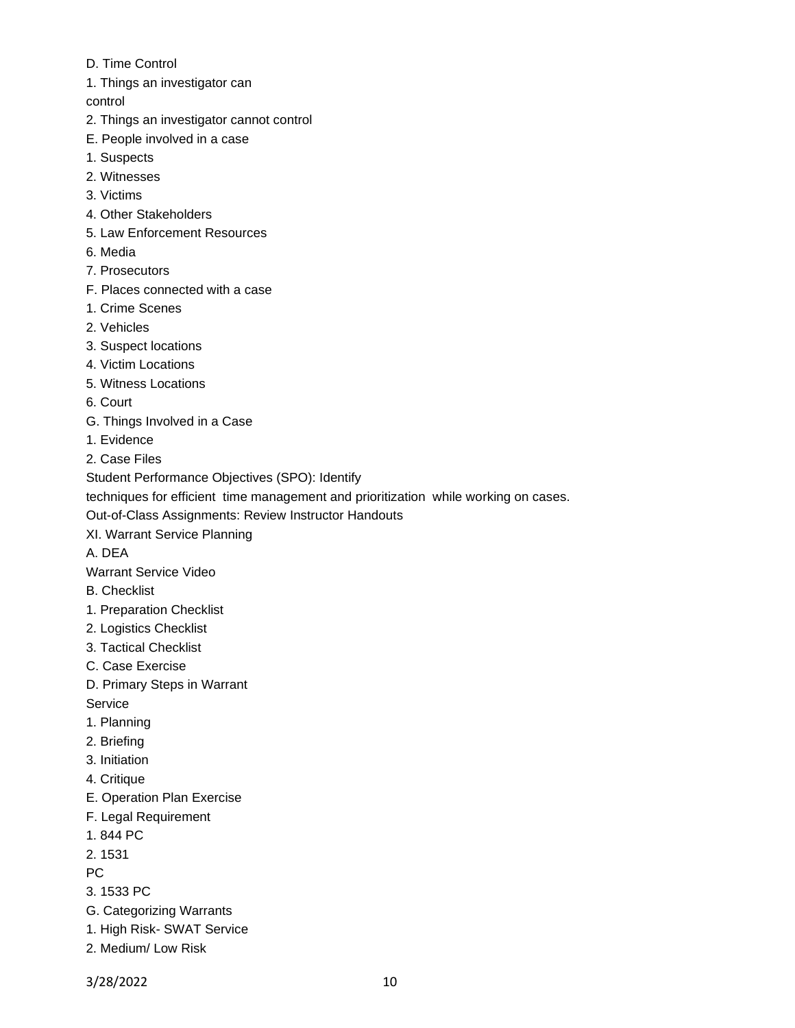- D. Time Control
- 1. Things an investigator can

control

- 2. Things an investigator cannot control
- E. People involved in a case
- 1. Suspects
- 2. Witnesses
- 3. Victims
- 4. Other Stakeholders
- 5. Law Enforcement Resources
- 6. Media
- 7. Prosecutors
- F. Places connected with a case
- 1. Crime Scenes
- 2. Vehicles
- 3. Suspect locations
- 4. Victim Locations
- 5. Witness Locations
- 6. Court
- G. Things Involved in a Case
- 1. Evidence
- 2. Case Files
- Student Performance Objectives (SPO): Identify

techniques for efficient time management and prioritization while working on cases.

Out-of-Class Assignments: Review Instructor Handouts

XI. Warrant Service Planning

A. DEA

Warrant Service Video

- B. Checklist
- 1. Preparation Checklist
- 2. Logistics Checklist
- 3. Tactical Checklist
- C. Case Exercise
- D. Primary Steps in Warrant
- Service
- 1. Planning
- 2. Briefing
- 3. Initiation
- 4. Critique
- E. Operation Plan Exercise
- F. Legal Requirement
- 1. 844 PC

2. 1531

PC

- 3. 1533 PC
- G. Categorizing Warrants
- 1. High Risk- SWAT Service
- 2. Medium/ Low Risk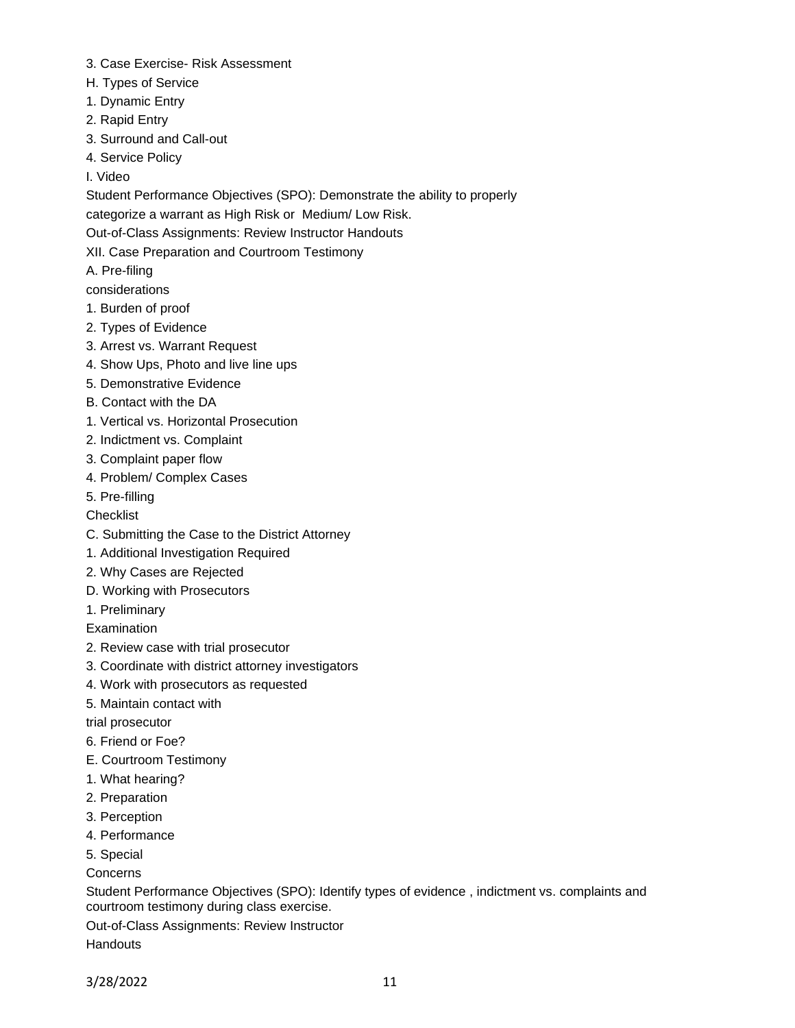- 3. Case Exercise- Risk Assessment
- H. Types of Service
- 1. Dynamic Entry
- 2. Rapid Entry
- 3. Surround and Call-out
- 4. Service Policy
- I. Video

Student Performance Objectives (SPO): Demonstrate the ability to properly

categorize a warrant as High Risk or Medium/ Low Risk.

Out-of-Class Assignments: Review Instructor Handouts

XII. Case Preparation and Courtroom Testimony

A. Pre-filing

considerations

- 1. Burden of proof
- 2. Types of Evidence
- 3. Arrest vs. Warrant Request
- 4. Show Ups, Photo and live line ups
- 5. Demonstrative Evidence
- B. Contact with the DA
- 1. Vertical vs. Horizontal Prosecution
- 2. Indictment vs. Complaint
- 3. Complaint paper flow
- 4. Problem/ Complex Cases
- 5. Pre-filling
- **Checklist**
- C. Submitting the Case to the District Attorney
- 1. Additional Investigation Required
- 2. Why Cases are Rejected
- D. Working with Prosecutors
- 1. Preliminary

**Examination** 

- 2. Review case with trial prosecutor
- 3. Coordinate with district attorney investigators
- 4. Work with prosecutors as requested
- 5. Maintain contact with

trial prosecutor

- 6. Friend or Foe?
- E. Courtroom Testimony
- 1. What hearing?
- 2. Preparation
- 3. Perception
- 4. Performance
- 5. Special
- Concerns

Student Performance Objectives (SPO): Identify types of evidence , indictment vs. complaints and courtroom testimony during class exercise.

Out-of-Class Assignments: Review Instructor

**Handouts**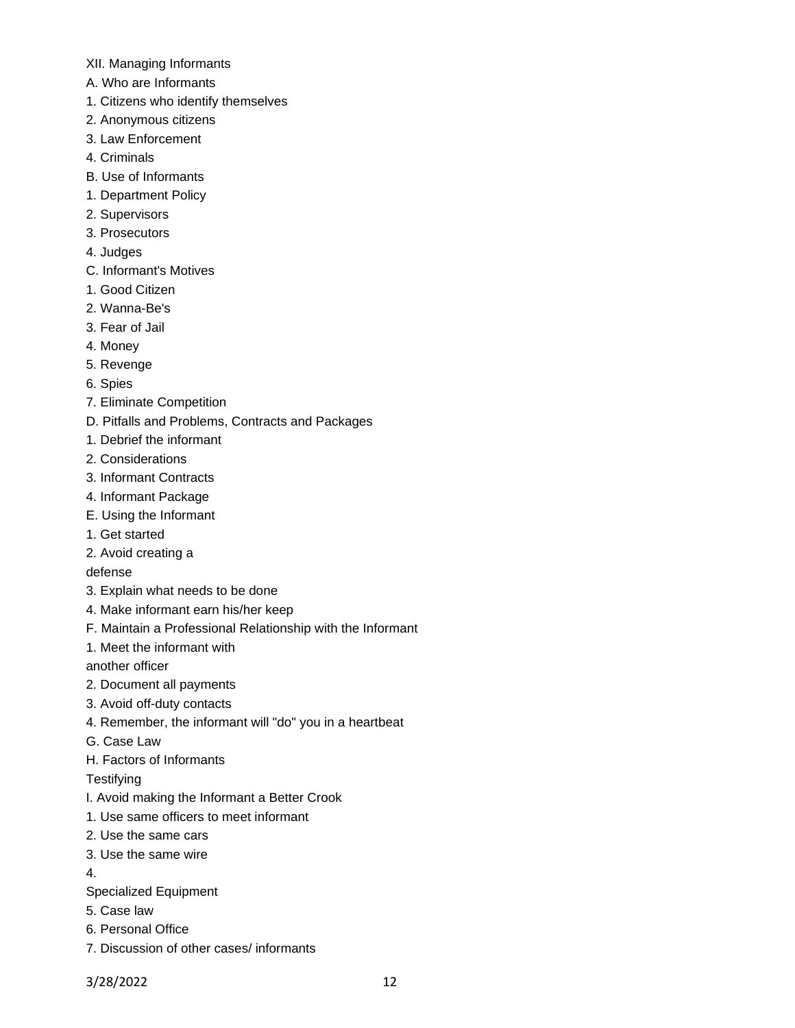- XII. Managing Informants
- A. Who are Informants
- 1. Citizens who identify themselves
- 2. Anonymous citizens
- 3. Law Enforcement
- 4. Criminals
- B. Use of Informants
- 1. Department Policy
- 2. Supervisors
- 3. Prosecutors
- 4. Judges
- C. Informant's Motives
- 1. Good Citizen
- 2. Wanna-Be's
- 3. Fear of Jail
- 4. Money
- 5. Revenge
- 6. Spies
- 7. Eliminate Competition
- D. Pitfalls and Problems, Contracts and Packages
- 1. Debrief the informant
- 2. Considerations
- 3. Informant Contracts
- 4. Informant Package
- E. Using the Informant
- 1. Get started
- 2. Avoid creating a

defense

- 3. Explain what needs to be done
- 4. Make informant earn his/her keep
- F. Maintain a Professional Relationship with the Informant
- 1. Meet the informant with

another officer

- 2. Document all payments
- 3. Avoid off-duty contacts
- 4. Remember, the informant will "do" you in a heartbeat
- G. Case Law
- H. Factors of Informants

**Testifying** 

- I. Avoid making the Informant a Better Crook
- 1. Use same officers to meet informant
- 2. Use the same cars
- 3. Use the same wire
- 4.
- Specialized Equipment
- 5. Case law
- 6. Personal Office
- 7. Discussion of other cases/ informants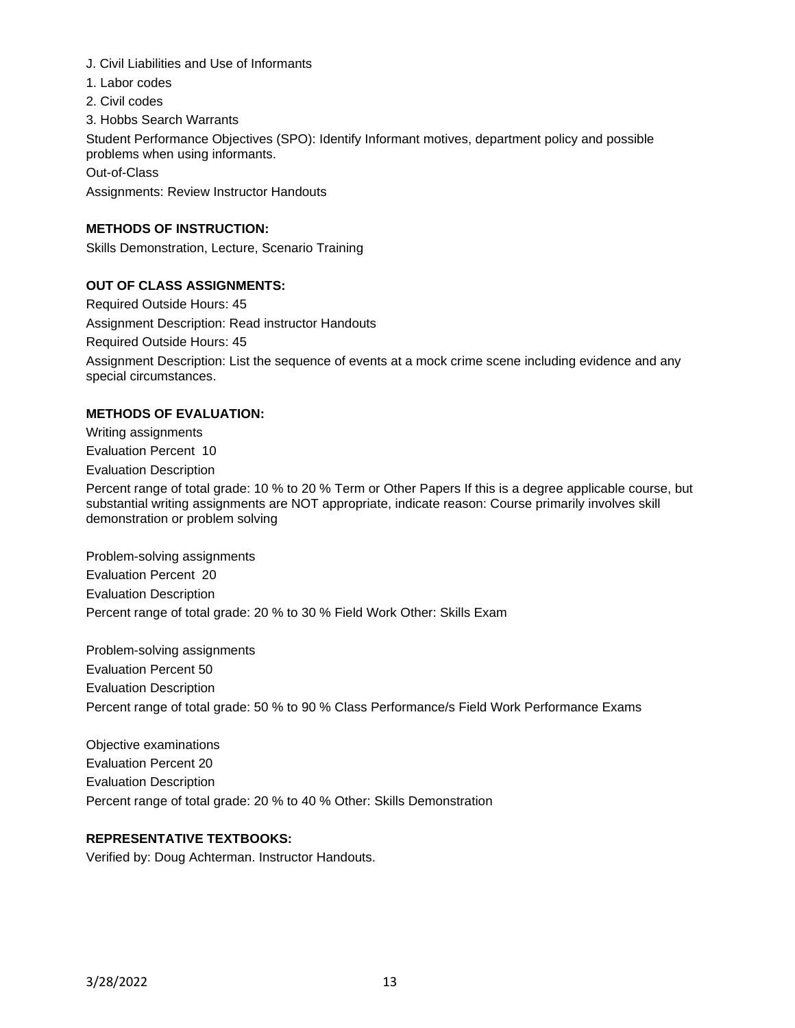- J. Civil Liabilities and Use of Informants
- 1. Labor codes
- 2. Civil codes
- 3. Hobbs Search Warrants

Student Performance Objectives (SPO): Identify Informant motives, department policy and possible problems when using informants.

Out-of-Class

Assignments: Review Instructor Handouts

### **METHODS OF INSTRUCTION:**

Skills Demonstration, Lecture, Scenario Training

### **OUT OF CLASS ASSIGNMENTS:**

Required Outside Hours: 45 Assignment Description: Read instructor Handouts Required Outside Hours: 45 Assignment Description: List the sequence of events at a mock crime scene including evidence and any special circumstances.

### **METHODS OF EVALUATION:**

Writing assignments Evaluation Percent 10

Evaluation Description

Percent range of total grade: 10 % to 20 % Term or Other Papers If this is a degree applicable course, but substantial writing assignments are NOT appropriate, indicate reason: Course primarily involves skill demonstration or problem solving

Problem-solving assignments Evaluation Percent 20 Evaluation Description Percent range of total grade: 20 % to 30 % Field Work Other: Skills Exam

Problem-solving assignments Evaluation Percent 50 Evaluation Description Percent range of total grade: 50 % to 90 % Class Performance/s Field Work Performance Exams

Objective examinations Evaluation Percent 20 Evaluation Description Percent range of total grade: 20 % to 40 % Other: Skills Demonstration

## **REPRESENTATIVE TEXTBOOKS:**

Verified by: Doug Achterman. Instructor Handouts.